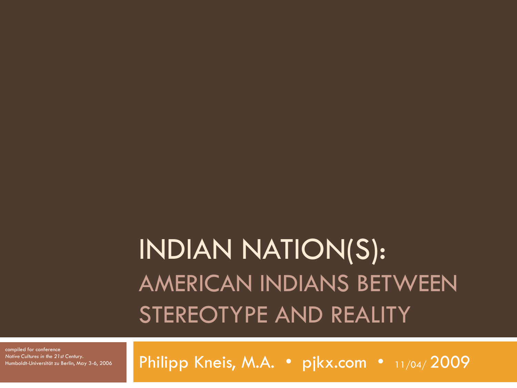#### INDIAN NATION(S): AMERICAN INDIANS BETWEEN STEREOTYPE AND REALITY

compiled for conference *Native Cultures in the 21st Century.* Humboldt-Universität zu Berlin, May 3-6, 2006

Philipp Kneis, M.A. · pjkx.com · 11/04/2009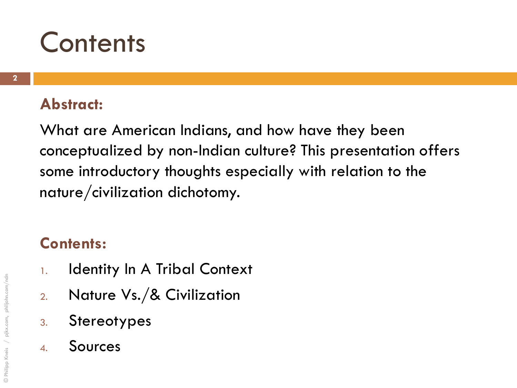#### **Contents**

#### **Abstract:**

What are American Indians, and how have they been conceptualized by non-Indian culture? This presentation offers some introductory thoughts especially with relation to the nature/civilization dichotomy.

#### **Contents:**

- 1. Identity In A Tribal Context
- 2. Nature Vs./& Civilization
- 3. Stereotypes
- 4. Sources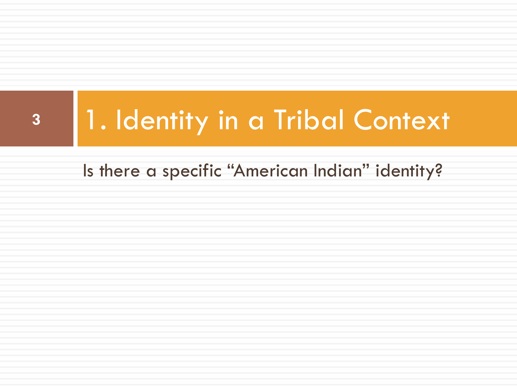# **<sup>3</sup>** 1. Identity in a Tribal Context

Is there a specific "American Indian" identity?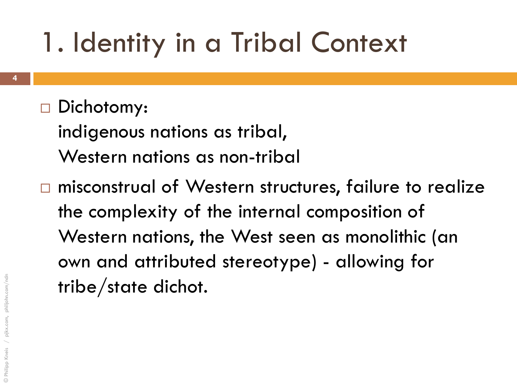## 1. Identity in a Tribal Context

#### Dichotomy:

indigenous nations as tribal, Western nations as non-tribal

□ misconstrual of Western structures, failure to realize the complexity of the internal composition of Western nations, the West seen as monolithic (an own and attributed stereotype) - allowing for tribe/state dichot.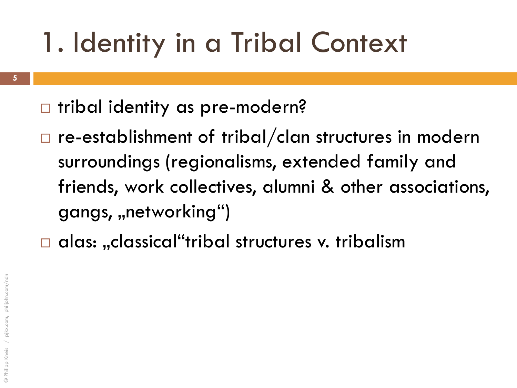# 1. Identity in a Tribal Context

- **5**
- □ tribal identity as pre-modern?
- re-establishment of tribal/clan structures in modern surroundings (regionalisms, extended family and friends, work collectives, alumni & other associations, gangs, "networking")
- $\square$  alas: "classical"tribal structures v. tribalism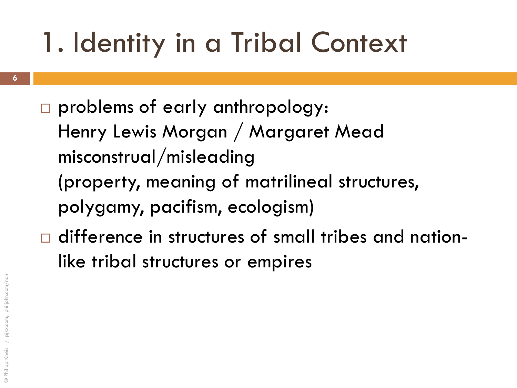# 1. Identity in a Tribal Context

- problems of early anthropology: Henry Lewis Morgan / Margaret Mead misconstrual/misleading (property, meaning of matrilineal structures, polygamy, pacifism, ecologism)
- $\Box$  difference in structures of small tribes and nationlike tribal structures or empires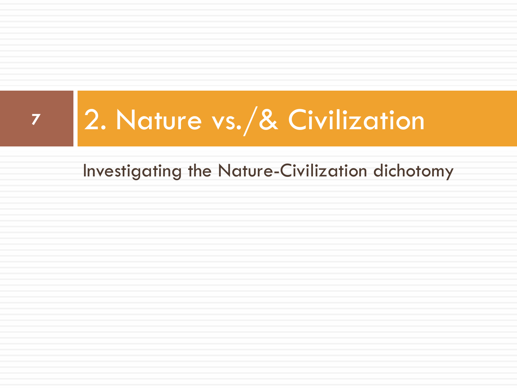Investigating the Nature-Civilization dichotomy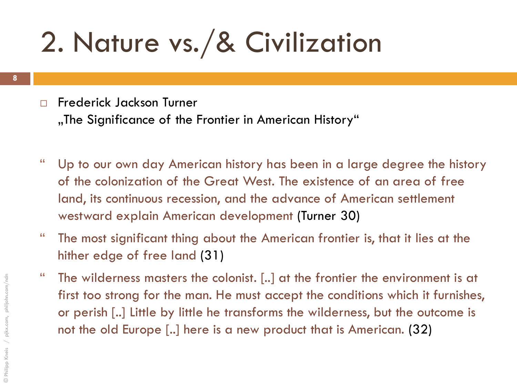#### Frederick Jackson Turner

"The Significance of the Frontier in American History"

- " Up to our own day American history has been in a large degree the history of the colonization of the Great West. The existence of an area of free land, its continuous recession, and the advance of American settlement westward explain American development (Turner 30)
- " The most significant thing about the American frontier is, that it lies at the hither edge of free land (31)
- " The wilderness masters the colonist. [..] at the frontier the environment is at first too strong for the man. He must accept the conditions which it furnishes, or perish [..] Little by little he transforms the wilderness, but the outcome is not the old Europe [..] here is a new product that is American. (32)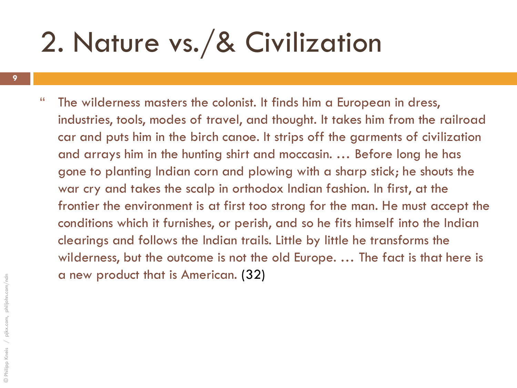" The wilderness masters the colonist. It finds him a European in dress, industries, tools, modes of travel, and thought. It takes him from the railroad car and puts him in the birch canoe. It strips off the garments of civilization and arrays him in the hunting shirt and moccasin. … Before long he has gone to planting Indian corn and plowing with a sharp stick; he shouts the war cry and takes the scalp in orthodox Indian fashion. In first, at the frontier the environment is at first too strong for the man. He must accept the conditions which it furnishes, or perish, and so he fits himself into the Indian clearings and follows the Indian trails. Little by little he transforms the wilderness, but the outcome is not the old Europe. … The fact is that here is a new product that is American. (32)

**9**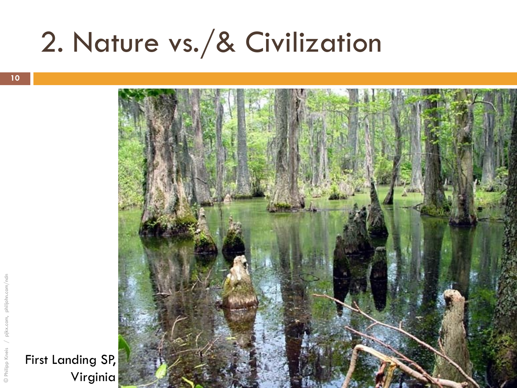



First Landing SP,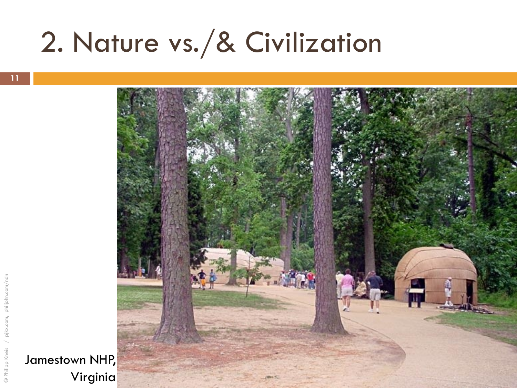

Jamestown NHP, Virginia

© Philipp Kneis / pjkx.com, philjohn.com/ndn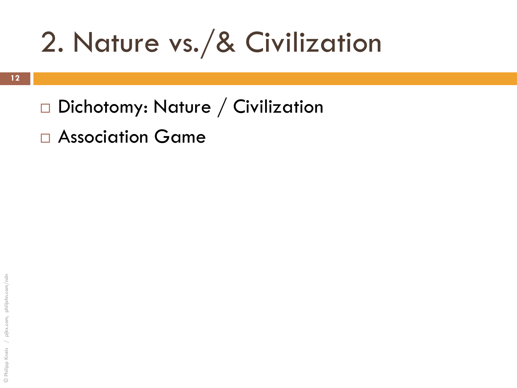- □ Dichotomy: Nature / Civilization
- Association Game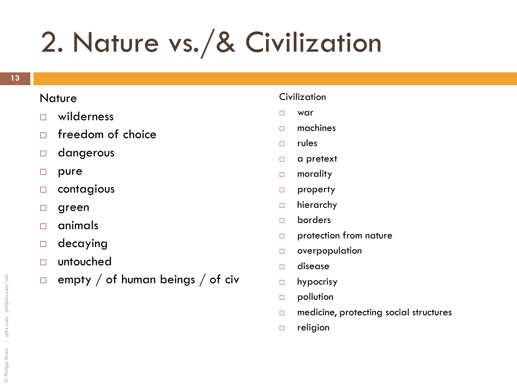#### **Nature**

- wilderness
- $\Box$  freedom of choice
- dangerous
- □ pure
- contagious
- □ green
- $\Box$  animals
- decaying
- untouched
- $\Box$  empty / of human beings / of civ

#### Civilization

- war
- $\Box$  machines
- $\Box$  rules
- □ a pretext
- □ morality
- □ property
- hierarchy
- borders
- protection from nature
- overpopulation
- disease
- hypocrisy
- **pollution**
- $\Box$  medicine, protecting social structures
- □ religion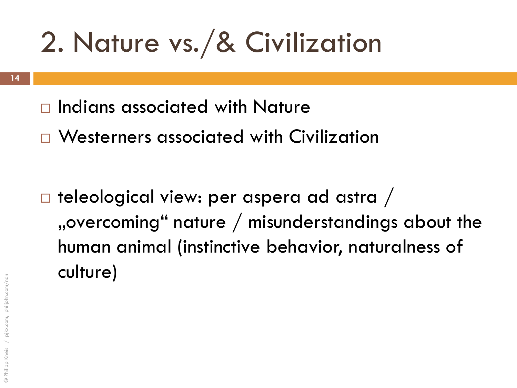- $\Box$  Indians associated with Nature
- Westerners associated with Civilization

 $\Box$  teleological view: per aspera ad astra / "overcoming" nature  $/$  misunderstandings about the human animal (instinctive behavior, naturalness of culture)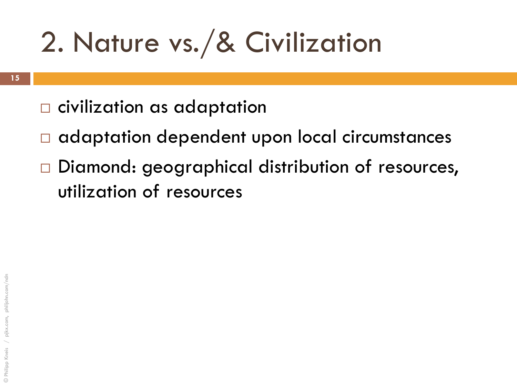- □ civilization as adaptation
- $\Box$  adaptation dependent upon local circumstances
- Diamond: geographical distribution of resources, utilization of resources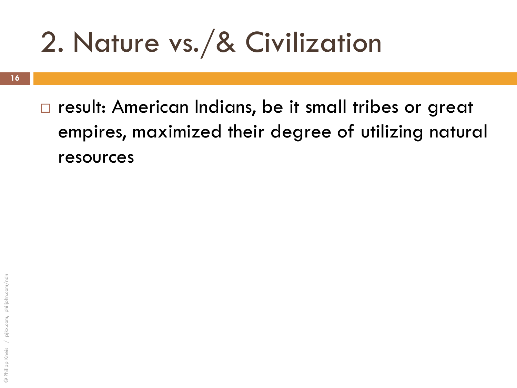**16**

□ result: American Indians, be it small tribes or great empires, maximized their degree of utilizing natural resources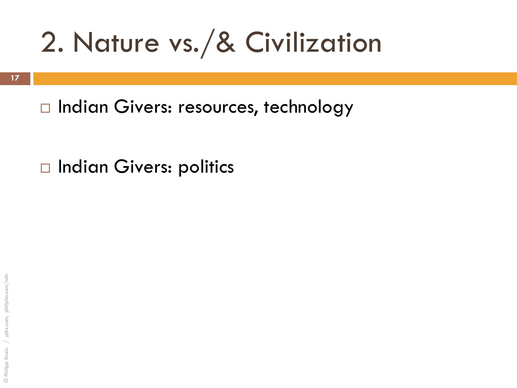□ Indian Givers: resources, technology

□ Indian Givers: politics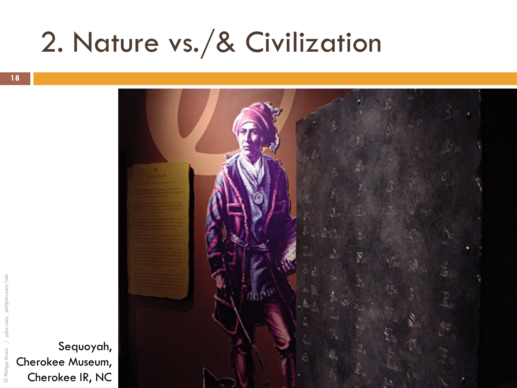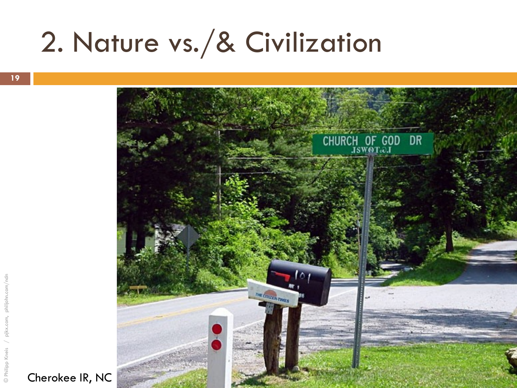



© Philipp Kneis / pjkx.com, philjohn.com/ndn

© Philipp

philjohn.com,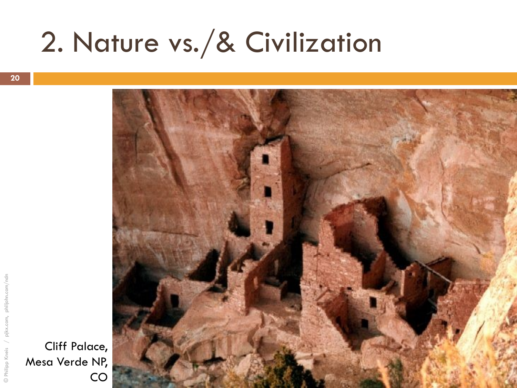



Cliff Palace, Mesa Verde NP,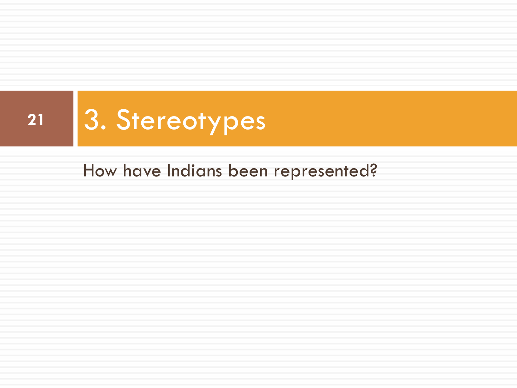

How have Indians been represented?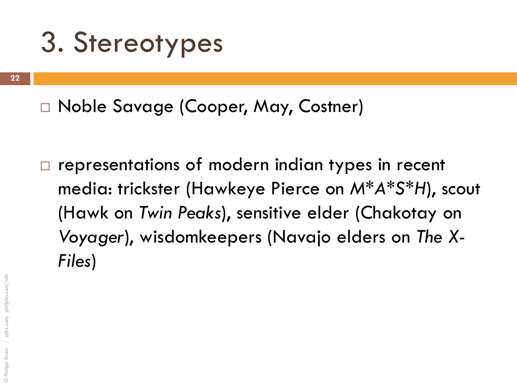Noble Savage (Cooper, May, Costner)

 $\Box$  representations of modern indian types in recent media: trickster (Hawkeye Pierce on *M\*A\*S\*H*), scout (Hawk on *Twin Peaks*), sensitive elder (Chakotay on *Voyager*), wisdomkeepers (Navajo elders on *The X-Files*)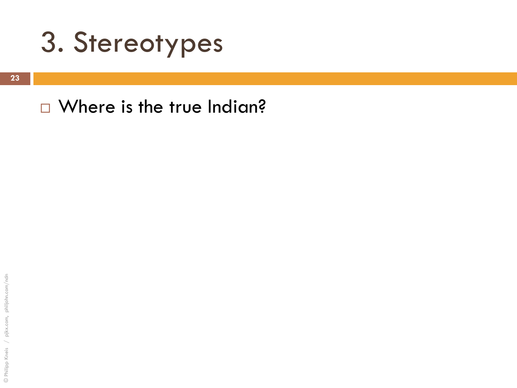

#### □ Where is the true Indian?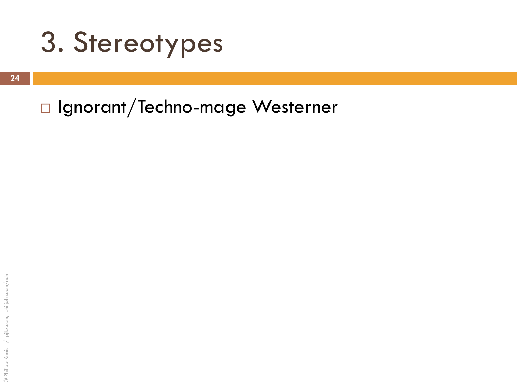#### □ Ignorant/Techno-mage Westerner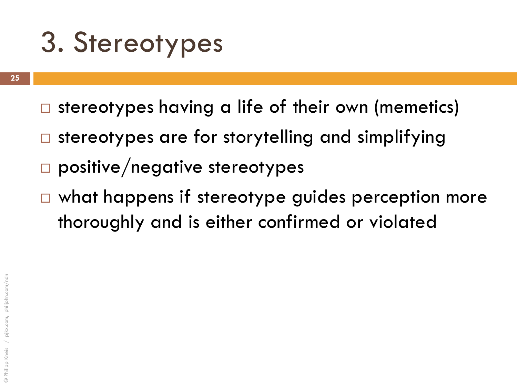- $\Box$  stereotypes having a life of their own (memetics)
- $\Box$  stereotypes are for storytelling and simplifying
- $\Box$  positive/negative stereotypes
- $\Box$  what happens if stereotype guides perception more thoroughly and is either confirmed or violated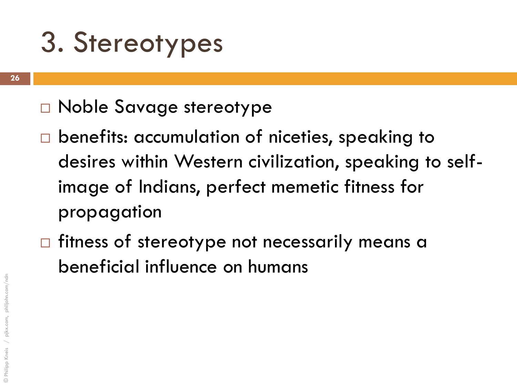- Noble Savage stereotype
- □ benefits: accumulation of niceties, speaking to desires within Western civilization, speaking to selfimage of Indians, perfect memetic fitness for propagation
- $\Box$  fitness of stereotype not necessarily means a beneficial influence on humans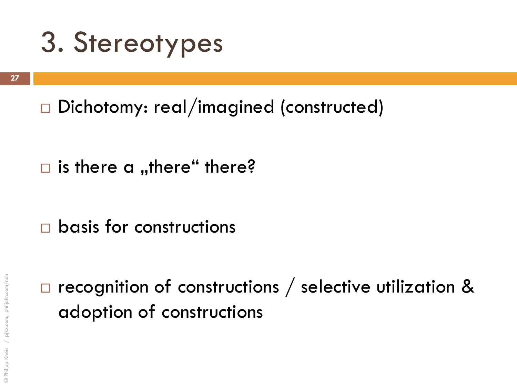□ Dichotomy: real/imagined (constructed)

 $\Box$  is there a ,,there" there?

 $\Box$  basis for constructions

 $\Box$  recognition of constructions / selective utilization & adoption of constructions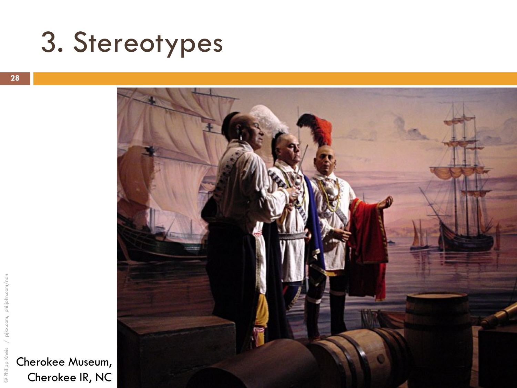



Cherokee Museum, Cherokee IR, NC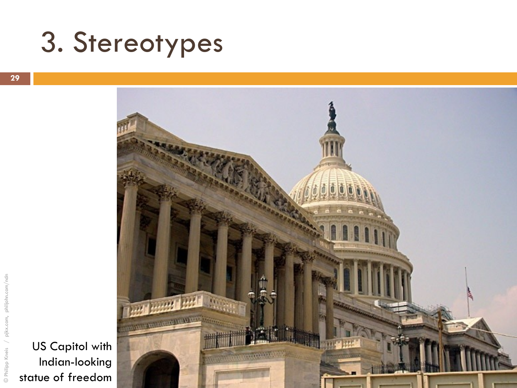

US Capitol with Indian-looking statue of freedom